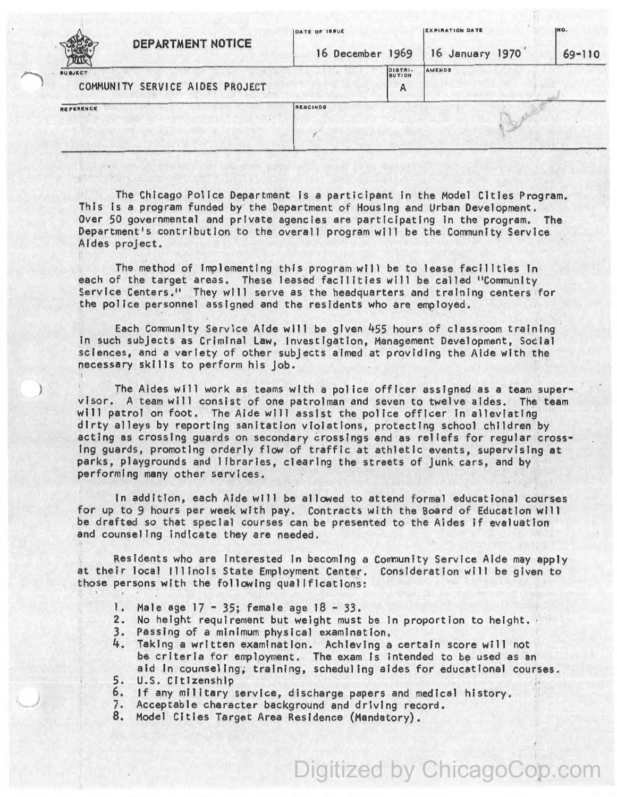| <b>DEPARTMENT NOTICE</b>                          | <b>IDATE OF ISSUE</b><br>16 December 1969 |                              | <b>IEXPIRATION DATE</b><br>16 January 1970 | INO.<br>$69 - 110$ |
|---------------------------------------------------|-------------------------------------------|------------------------------|--------------------------------------------|--------------------|
| <b>SUBJECT</b><br>COMMUNITY SERVICE AIDES PROJECT |                                           | D157R1<br><b>BUTION</b><br>A | AMENDS                                     |                    |
| REFERENCE                                         | RESCINDS                                  |                              |                                            |                    |
|                                                   |                                           |                              |                                            |                    |

The Chicago Police Department is a participant in the Model Cities Program. This Is a program funded by the Department of Housing and Urban Development. Over 50 governmental and private agencies are participating in the program. The Department's contribution to the overall program will be the Community Service Aides project.

The method of Implementing this program will be to lease facilities ln each of the target areas. These leased facilities will be called "Conmunlty Service Centers." They will serve as the headquarters and training centers for the police personnel assigned and the residents who are employed.

Each Community Service Aide will be given 455 hours of classroom training In such subjects as Criminal Law, Investigation, Management Development, Social sciences, and a variety of other subjects aimed at providing the Aide with the necessary skills to perform his job.

) The Aides will work as teams with a police officer assigned as a team supervisor. A team will consist of one patrolman and seven to twelve aides. The team will patrol on foot. The Aide will assist the police officer in alleviating dirty alleys by reporting sanitation violations, protecting school children by acting as crossing guards on secondary crossings and as rel lefs for regular crossing guards, promoting orderly flow of traffic at athletic events, supervising 'at parks, playgrounds and libraries, clearing the streets of junk cars, and by performing many other services.

In addition, each Aide will be allowed to attend formal educational courses for up to 9 hours per week with pay. Contracts with the Board of Education will be drafted so that special courses can be presented to the Aides if evaluation and counseling indicate they are needed.

Residents who are Interested In becoming a Conmunity Service Aide may apply at their local Ill inois State Employment Center. Consideration will be given to those persons with the following qualifications:

- 1. Male age 17 35; female age 18 33.
- 2. No height requirement but weight must be in proportion to height.<br>3. Passing of a minimum physical examination.<br>4. Taking a written examination. Achieving a certain score will not
- 
- Taking a written examination. Achieving a certain score will not be criteria for employment. The exam is intended to be used as an aid in counseling; training, scheduling aides for educational courses.
- 5. U.S. Citizenship
- 6. If any military service, discharge papers and medical history.
- 7. Acceptable character background and driving record.
- Model Cities Target Area Residence (Mandatory).

Digitized by ChicagoCop.com